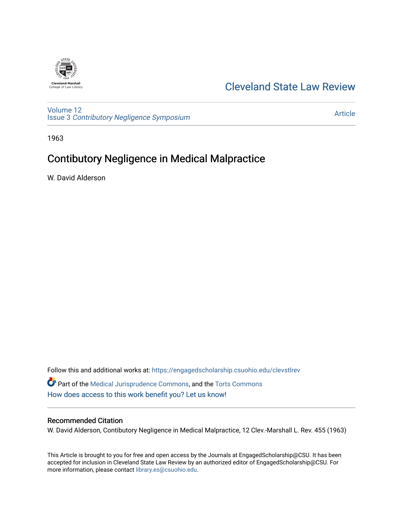

## [Cleveland State Law Review](https://engagedscholarship.csuohio.edu/clevstlrev)

[Volume 12](https://engagedscholarship.csuohio.edu/clevstlrev/vol12) Issue 3 [Contributory Negligence Symposium](https://engagedscholarship.csuohio.edu/clevstlrev/vol12/iss3)

[Article](https://engagedscholarship.csuohio.edu/clevstlrev/vol12/iss3/7) 

1963

# Contibutory Negligence in Medical Malpractice

W. David Alderson

Follow this and additional works at: [https://engagedscholarship.csuohio.edu/clevstlrev](https://engagedscholarship.csuohio.edu/clevstlrev?utm_source=engagedscholarship.csuohio.edu%2Fclevstlrev%2Fvol12%2Fiss3%2F7&utm_medium=PDF&utm_campaign=PDFCoverPages) Part of the [Medical Jurisprudence Commons,](http://network.bepress.com/hgg/discipline/860?utm_source=engagedscholarship.csuohio.edu%2Fclevstlrev%2Fvol12%2Fiss3%2F7&utm_medium=PDF&utm_campaign=PDFCoverPages) and the [Torts Commons](http://network.bepress.com/hgg/discipline/913?utm_source=engagedscholarship.csuohio.edu%2Fclevstlrev%2Fvol12%2Fiss3%2F7&utm_medium=PDF&utm_campaign=PDFCoverPages)  [How does access to this work benefit you? Let us know!](http://library.csuohio.edu/engaged/)

### Recommended Citation

W. David Alderson, Contibutory Negligence in Medical Malpractice, 12 Clev.-Marshall L. Rev. 455 (1963)

This Article is brought to you for free and open access by the Journals at EngagedScholarship@CSU. It has been accepted for inclusion in Cleveland State Law Review by an authorized editor of EngagedScholarship@CSU. For more information, please contact [library.es@csuohio.edu](mailto:library.es@csuohio.edu).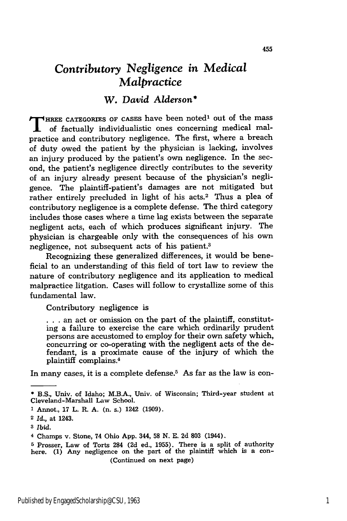## *Contributory Negligence in Medical Malpractice*

## W. *David Alderson\**

**T** HREE CATEGORIES OF CASES have been noted<sup>1</sup> out of the mass of factually individualistic ones concerning medical malpractice and contributory negligence. The first, where a breach of duty owed the patient **by** the physician is lacking, involves an injury produced **by** the patient's own negligence. In the second, the patient's negligence directly contributes to the severity of an injury already present because of the physician's negligence. The plaintiff-patient's damages are not mitigated but rather entirely precluded in light of his acts.<sup>2</sup> Thus a plea of contributory negligence is a complete defense. The third category includes those cases where a time lag exists between the separate negligent acts, each of which produces significant injury. The physician is chargeable only with the consequences of his own negligence, not subsequent acts of his patient.3

Recognizing these generalized differences, it would be beneficial to an understanding of this field of tort law to review the nature of contributory negligence and its application to medical malpractice litgation. Cases will follow to crystallize some of this fundamental law.

Contributory negligence is

• **. .** an act or omission on the part of the plaintiff, constituting a failure to exercise the care which ordinarily prudent persons are accustomed to employ for their own safety which, concurring or co-operating with the negligent acts of the defendant, is a proximate cause of the injury of which the plaintiff complains.<sup>4</sup>

In many cases, it is a complete defense. $5$  As far as the law is con-

<sup>\*</sup> B.S., Univ. of Idaho; M.B.A., Univ. of Wisconsin; Third-year student at Cleveland-Marshall Law School.

**<sup>1</sup>** Annot., **17** L. R. **A.** (n. s.) 1242 **(1909).**

<sup>2</sup> *Id.,* at 1243.

**<sup>3</sup>** *Ibid.*

<sup>4</sup> Champs v. Stone, 74 Ohio **App.** 344, **58 N. E.** 2d 803 (1944).

**<sup>5</sup>** Prosser, Law of Torts 284 **(2d** ed., **1955).** There is a split of authority here. **(1)** Any negligence on the part of the plaintiff which is a con- (Continued on next page)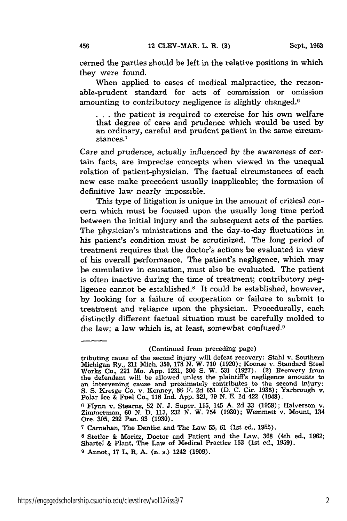cerned the parties should be left in the relative positions in which they were found.

When applied to cases of medical malpractice, the reasonable-prudent standard for acts of commission or omission amounting to contributory negligence is slightly changed.<sup>6</sup>

**. . .** the patient is required to exercise for his own welfare that degree of care and prudence which would be used by an ordinary, careful and prudent patient in the same circumstances.<sup>7</sup>

Care and prudence, actually influenced by the awareness of certain facts, are imprecise concepts when viewed in the unequal relation of patient-physician. The factual circumstances of each new case make precedent usually inapplicable; the formation of definitive law nearly impossible.

This type of litigation is unique in the amount of critical concern which must be focused upon the usually long time period between the initial injury and the subsequent acts of the parties. The physician's ministrations and the day-to-day fluctuations in his patient's condition must be scrutinized. The long period of treatment requires that the doctor's actions be evaluated in view of his overall performance. The patient's negligence, which may be cumulative in causation, must also be evaluated. The patient is often inactive during the time of treatment; contributory negligence cannot be established.8 It could be established, however, by looking for a failure of cooperation or failure to submit to treatment and reliance upon the physician. Procedurally, each distinctly different factual situation must be carefully molded to the law; a law which is, at least, somewhat confused.<sup>9</sup>

**<sup>7</sup>**Carnahan, The Dentist and The Law **55, 61** (1st ed., **1955).**

<sup>(</sup>Continued from preceding page)

tributing cause of the second injury will defeat recovery: Stahl v. Southern Michigan Ry., 211 Mich. 350, 178 N. W. 710 (1920); Koonse v. Standard Steel Works Co., 221 Mo. App. 1231, **300 S.** W. 531 (1927). (2) Recovery from the defendant will be allowed unless the plaintiff's negligence amounts to an intervening cause and proximately contributes to the second injury: S. S. Kresge Co. v. Kenney, **86** F. 2d 651 (D. C. Cir. 1936); Yarbrough v. Polar Ice & Fuel Co., **118** Ind. App. 321, 79 N. E. 2d 422 (1948).

**<sup>6</sup>** Flynn v. Stearns, 52 **N.** J. Super. 115, 145 **A.** 2d 33 (1958); Halverson v. Zimmerman, 60 N. D. 113, 232 N. W. 754 (1930); Wemmett v. Mount, 134 Ore. 305, 292 Pac. 93 (1930).

**<sup>8</sup>** Stetler & Moritz, Doctor and Patient and the Law, **368** (4th ed., 1962; Shartel & Plant, The Law of Medical Practice 153 (1st ed., 1959).

**<sup>9</sup>** Annot., 17 L. *R.* A. (n. s.) 1242 (1909).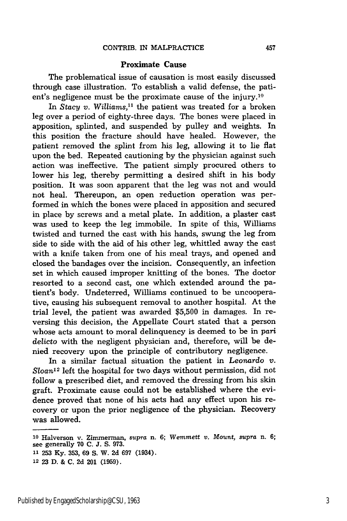#### **Proximate Cause**

The problematical issue of causation is most easily discussed through case illustration. To establish a valid defense, the patient's negligence must be the proximate cause of the injury.<sup>10</sup>

In *Stacy v. Williams*,<sup>11</sup> the patient was treated for a broken leg over a period of eighty-three days. The bones were placed in apposition, splinted, and suspended **by** pulley and weights. In this position the fracture should have healed. However, the patient removed the splint from his leg, allowing it to lie flat upon the bed. Repeated cautioning **by** the physician against such action was ineffective. The patient simply procured others to lower his leg, thereby permitting a desired shift in his body position. It was soon apparent that the leg was not and would not heal. Thereupon, an open reduction operation was performed in which the bones were placed in apposition and secured in place **by** screws and a metal plate. In addition, a plaster cast was used to keep the leg immobile. In spite of this, Williams twisted and turned the cast with his hands, swung the leg from side to side with the aid of his other leg, whittled away the cast with a knife taken from one of his meal trays, and opened and closed the bandages over the incision. Consequently, an infection set in which caused improper knitting of the bones. The doctor resorted to a second cast, one which extended around the patient's body. Undeterred, Williams continued to be uncooperative, causing his subsequent removal to another hospital. At the trial level, the patient was awarded **\$5,500** in damages. In reversing this decision, the Appellate Court stated that a person whose acts amount to moral delinquency is deemed to be in *pari* delicto with the negligent physician and, therefore, will be denied recovery upon the principle of contributory negligence.

In a similar factual situation the patient in *Leonardo* v. *Sloan-12* left the hospital for two days without permission, did not follow a prescribed diet, and removed the dressing from his skin graft. Proximate cause could not be established where the evidence proved that none of his acts had any effect upon his recovery or upon the prior negligence of the physician. Recovery was allowed.

**<sup>10</sup>**Halverson v. Zimmerman, *supra* n. **6;** *Wemmett v. Mount, supra* n. **6;** see generally **70 C. J. S. 973. 11 253 Ky. 353, 69 S.** W. **2d 697** (1934).

**<sup>12 23</sup> D. & C. 2d** 201 **(1959).**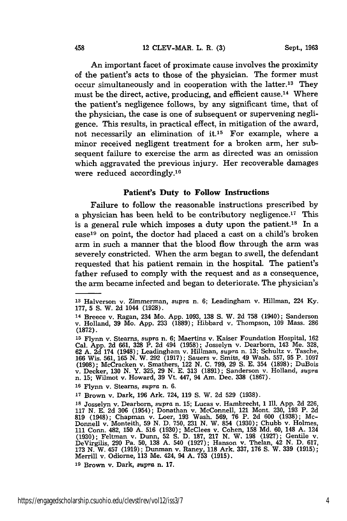An important facet of proximate cause involves the proximity of the patient's acts to those of the physician. The former must occur simultaneously and in cooperation with the latter.<sup>13</sup> They must be the direct, active, producing, and efficient cause. 14 Where the patient's negligence follows, by any significant time, that of the physician, the case is one of subsequent or supervening negligence. This results, in practical effect, in mitigation of the award, not necessarily an elimination of it.<sup>15</sup> For example, where a minor received negligent treatment for a broken arm, her subsequent failure to exercise the arm as directed was an omission which aggravated the previous injury. Her recoverable damages were reduced accordingly.<sup>16</sup>

### Patient's Duty to Follow Instructions

Failure to follow the reasonable instructions prescribed by a physician has been held to be contributory negligence.<sup>17</sup> This is a general rule which imposes a duty upon the patient.<sup>18</sup> In a case<sup>19</sup> on point, the doctor had placed a cast on a child's broken arm in such a manner that the blood flow through the arm was severely constricted. When the arm began to swell, the defendant requested that his patient remain in the hospital. The patient's father refused to comply with the request and as a consequence, the arm became infected and began to deteriorate. The physician's

**<sup>13</sup>**Halverson v. Zimmerman, *supra* n. 6; Leadingham v. Hillman, 224 Ky. 177, 5 S. W. 2d 1044 (1928).

**<sup>14</sup>**Breece v. Ragan, 234 Mo. App. 1093, **138** S. W. 2d 758 (1940); Sanderson v. Holland, **39** Mo. App. 233 (1889); Hibbard v. Thompson, 109 Mass. 286 **(1872).**

**<sup>15</sup>**Flynn v. Stearns, *supra* n. 6; Maertins v. Kaiser Foundation Hospital, 162 Cal. App. 2d 661, 328 P. 2d 494 (1958); Josselyn v. Dearborn, 143 Me. 328<br>62 A. 2d 174 (1948); Leadingham v. Hillman, *supra* n. 13; Schultz v. Tasche<br>166 Wis. 561, 165 N. W. 292 (1917); Sauers v. Smits, 49 Wash. 557, 95 P **(1908);** McCracken v. Smathers, 122 N. **C.** 799, **29 S.** E. 354 (1898); DuBois v. Decker, 130 N. Y. 325, 29 N. E. **313** (1891); Sanderson v. Holland, *supra* n. 15; Wilmot v. Howard, 39 Vt. 447, 94 Am. Dec. **338** (1867).

**<sup>16</sup>**Flynn v. Stearns, *supra* n. 6.

**<sup>17</sup>**Brown v. Dark, 196 Ark. 724, **119 S.** W. 2d 529 (1938).

**<sup>18</sup>**Josselyn v. Dearborn, *supra* n. **15;** Lucas v. Hambrecht, 1 Il. App. 2d 226, 117 N. E. 2d 306 (1954); Donathan v. McConnell, 121 Mont. 230, 193 P. 2d 819 (1948); Chapman v. Loer, 193 Wash. 569, 76 P. 2d 600 (1938); Mc-Donnell v. Monteith, 59 N. D. 750, 231 N. W. 854 (1930); Chubb v. Holmes 111 Conn. 482, 150 A. 516 (1930); McClees v. Cohen, 158 Md. 60, 148 A. 124 (1930); Feltman v. Dunn, 52 S. D. 187, 217 N. W. 198 (1927); Gentile v. DeVirgilis, 290 Pa. 50, 138 A. 540 (1927); Gentile v. Trielan, 42 N. D. 617

**<sup>19</sup>**Brown v. Dark, *supra* n. 17.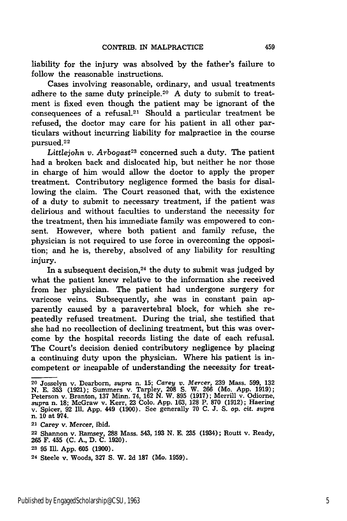liability for the injury was absolved by the father's failure to follow the reasonable instructions.

Cases involving reasonable, ordinary, and usual treatments adhere to the same duty principle.<sup>20</sup> A duty to submit to treatment is fixed even though the patient may be ignorant of the consequences of a refusal. $21$  Should a particular treatment be refused, the doctor may care for his patient in all other particulars without incurring liability for malpractice in the course pursued.<sup>22</sup>

Littlejohn v. Arbogast<sup>23</sup> concerned such a duty. The patient had a broken back and dislocated hip, but neither he nor those in charge of him would allow the doctor to apply the proper treatment. Contributory negligence formed the basis for disallowing the claim. The Court reasoned that, with the existence of a duty to submit to necessary treatment, if the patient was delirious and without faculties to understand the necessity for the treatment, then his immediate family was empowered to consent. However, where both patient and family refuse, the physician is not required to use force in overcoming the opposition; and he is, thereby, absolved of any liability for resulting injury.

In a subsequent decision,  $24$  the duty to submit was judged by what the patient knew relative to the information she received from her physician. The patient had undergone surgery for varicose veins. Subsequently, she was in constant pain apparently caused by a paravertebral block, for which she repeatedly refused treatment. During the trial, she testified that she had no recollection of declining treatment, but this was overcome by the hospital records listing the date of each refusal. The Court's decision denied contributory negligence by placing a continuing duty upon the physician. Where his patient is incompetent or incapable of understanding the necessity for treat-

**<sup>20</sup>**Josselyn v. Dearborn, *supra* n. **15;** *Carey v. Mercer,* **239** Mass. 599, **132** N. E. 353 (1921); Summers v. Tarpley, **208** S. W. **266** (Mo. App. 1919); Peterson v. Branton, 137 Minn. 74, 162 N. W. 895 (1917); Merrill v. Odiorne, supra n. 18; McGraw v. Kerr, 23 Colo. App. 163, 128 P. 870 (1912); Haering v. Spicer, 92 Ill. App. 449 (1900). See generally 70 C. J. S. op. cit. **21** Carey v. Mercer, ibid.

<sup>22</sup> Shannon v. Ramsey, **288** Mass. 543, **193 N.** E. **235** (1934); Routt v. Ready, **265** F. 455 **(C. A.,** D. **C.** 1920).

<sup>23 95</sup> Ill. App. 605 (1900).

<sup>24</sup> Steele v. Woods, **327 S,** W. **2d 187** (Mo. 1959).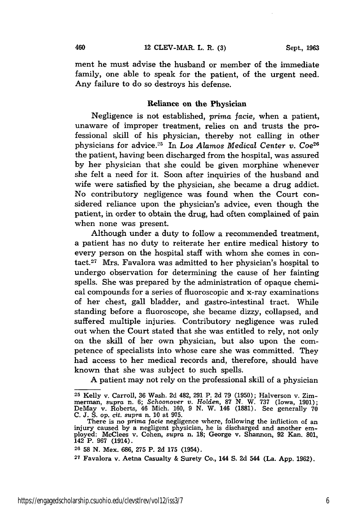ment he must advise the husband or member of the immediate family, one able to speak for the patient, of the urgent need. Any failure to do so destroys his defense.

### Reliance on **the** Physician

Negligence is not established, *prima facie,* when a patient, unaware of improper treatment, relies on and trusts the professional skill of his physician, thereby not calling in other physicians for advice.<sup>25</sup> In Los Alamos Medical Center v. Coe<sup>26</sup> the patient, having been discharged from the hospital, was assured by her physician that she could be given morphine whenever she felt a need for it. Soon after inquiries of the husband and wife were satisfied by the physician, she became a drug addict. No contributory negligence was found when the Court considered reliance upon the physician's advice, even though the patient, in order to obtain the drug, had often complained of pain when none was present.

Although under a duty to follow a recommended treatment, a patient has no duty to reiterate her entire medical history to every person on the hospital staff with whom she comes in contact.27 Mrs. Favalora was admitted to her physician's hospital to undergo observation for determining the cause of her fainting spells. She was prepared by the administration of opaque chemical compounds for a series of fluoroscopic and x-ray examinations of her chest, gall bladder, and gastro-intestinal tract. While standing before a fluoroscope, she became dizzy, collapsed, and suffered multiple injuries. Contributory negligence was ruled out when the Court stated that she was entitled to rely, not only on the skill of her own physician, but also upon the competence of specialists into whose care she was committed. They had access to her medical records and, therefore, should have known that she was subject to such spells.

A patient may not rely on the professional skill of a physician

**<sup>25</sup>** Kelly v. Carroll, 36 Wash. 2d 482, 291 P. 2d 79 (1950); Halverson v. Zimmerman, *supra* n. 6; *Schoonover v. Holden,* **87 N.** W. **737** (Iowa, **1901);** DeMay v. Roberts, 46 Mich. 160, 9 N. W. 146 **(1881).** See generally **<sup>70</sup>**

C. J. S. op. cit. supra n. 10 at 975.<br>There is no prima facie negligence where, following the infliction of an<br>injury caused by a negligent physician, he is discharged and another em-<br>ployed: McClees v. Cohen, *supra* n. 1 ployed: McClees v. Cohen, *supra* n. 18; George v. Shannon, 92 Kan. 801, 142 P. 967 (1914).

**<sup>26 58</sup> N.** Mex. **686, 275** P. **2d 175** (1954).

**<sup>27</sup>**Favalora v. Aetna Casualty & Surety Co., 144 **S. 2d** 544 (La. **App. 1962).**